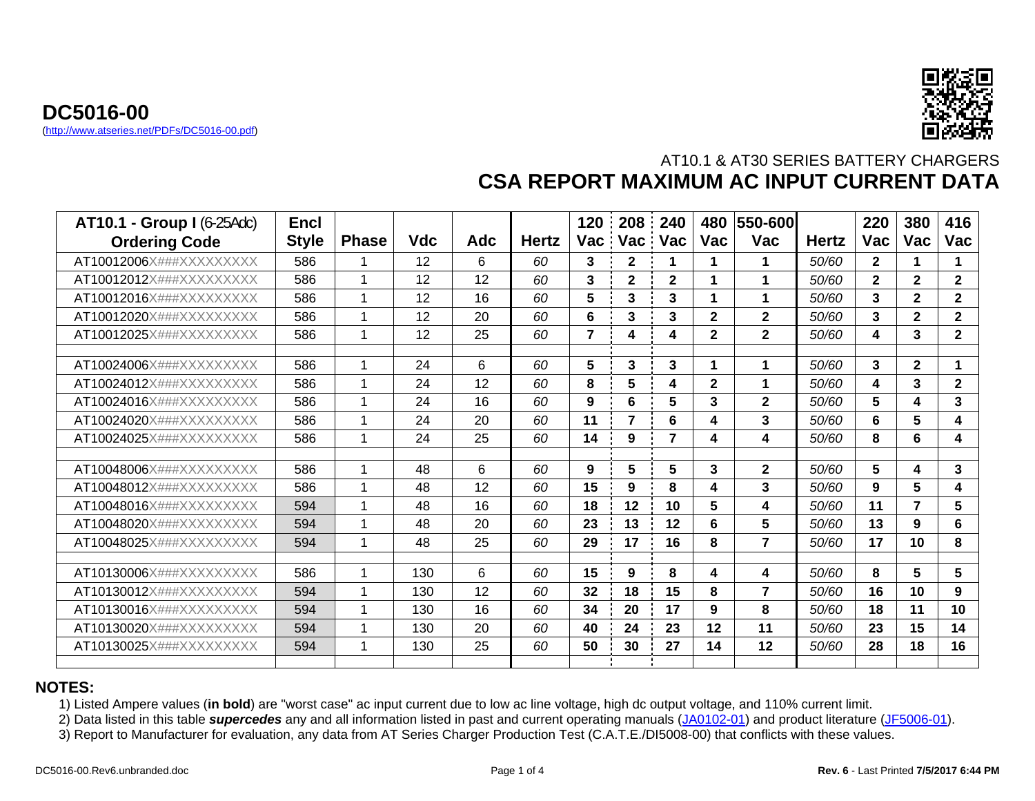



| <b>AT10.1 - Group I (6-25Adc)</b> | <b>Encl</b>  |              |     |            |              | 120            | 208          | 240            | 480            | 550-600        |              | 220                     | 380            | 416          |
|-----------------------------------|--------------|--------------|-----|------------|--------------|----------------|--------------|----------------|----------------|----------------|--------------|-------------------------|----------------|--------------|
| <b>Ordering Code</b>              | <b>Style</b> | <b>Phase</b> | Vdc | <b>Adc</b> | <b>Hertz</b> | Vac            | Vac Vac      |                | <b>Vac</b>     | Vac            | <b>Hertz</b> | <b>Vac</b>              | <b>Vac</b>     | Vac          |
| AT10012006X###XXXXXXXXX           | 586          |              | 12  | 6          | 60           | 3              | $\mathbf{2}$ | 1              | 1              | 1              | 50/60        | $\mathbf{2}$            | 1              | 1            |
| AT10012012X###XXXXXXXXX           | 586          |              | 12  | 12         | 60           | 3              | $\mathbf{2}$ | $\mathbf{2}$   |                | 1              | 50/60        | $\mathbf{2}$            | $\mathbf{2}$   | $\mathbf{2}$ |
| AT10012016X###XXXXXXXXX           | 586          |              | 12  | 16         | 60           | 5              | 3            | 3              | 1              | 1              | 50/60        | 3                       | $\overline{2}$ | $\mathbf{2}$ |
| AT10012020X###XXXXXXXXX           | 586          |              | 12  | 20         | 60           | 6              | 3            | 3              | $\overline{2}$ | $\mathbf{2}$   | 50/60        | 3                       | $\overline{2}$ | $\mathbf{2}$ |
| AT10012025X###XXXXXXXXX           | 586          |              | 12  | 25         | 60           | $\overline{7}$ | 4            | 4              | $\mathbf{2}$   | $\mathbf{2}$   | 50/60        | 4                       | 3              | $\mathbf{2}$ |
| AT10024006X###XXXXXXXXX           | 586          |              | 24  | 6          | 60           | 5              | 3            | 3              | 1              | $\mathbf 1$    | 50/60        | 3                       | $\mathbf{2}$   | 1            |
| AT10024012X###XXXXXXXXX           | 586          |              | 24  | 12         | 60           | 8              | 5            | 4              | $\overline{2}$ | 1              | 50/60        | $\overline{\mathbf{4}}$ | 3              | $\mathbf{2}$ |
| AT10024016X###XXXXXXXXX           | 586          |              | 24  | 16         | 60           | 9              | 6            | 5              | 3              | $\mathbf{2}$   | 50/60        | 5                       | 4              | 3            |
| AT10024020X###XXXXXXXXX           | 586          |              | 24  | 20         | 60           | 11             | 7            | 6              | 4              | 3              | 50/60        | 6                       | 5              | 4            |
| AT10024025X###XXXXXXXXX           | 586          |              | 24  | 25         | 60           | 14             | 9            | $\overline{7}$ | 4              | 4              | 50/60        | 8                       | 6              | 4            |
| AT10048006X###XXXXXXXXX           | 586          | 1            | 48  | 6          | 60           | 9              | 5            | 5              | 3              | $\mathbf{2}$   | 50/60        | 5                       | 4              | 3            |
| AT10048012X###XXXXXXXXX           | 586          |              | 48  | 12         | 60           | 15             | 9            | 8              | 4              | 3              | 50/60        | 9                       | 5              | 4            |
| AT10048016X###XXXXXXXXX           | 594          |              | 48  | 16         | 60           | 18             | 12           | 10             | 5              | 4              | 50/60        | 11                      | $\overline{7}$ | 5            |
| AT10048020X###XXXXXXXXX           | 594          |              | 48  | 20         | 60           | 23             | 13           | 12             | 6              | 5              | 50/60        | 13                      | 9              | 6            |
| AT10048025X###XXXXXXXXX           | 594          |              | 48  | 25         | 60           | 29             | 17           | 16             | 8              | $\overline{7}$ | 50/60        | 17                      | 10             | 8            |
| AT10130006X###XXXXXXXXX           | 586          |              | 130 | 6          | 60           | 15             | 9            | 8              | 4              | 4              | 50/60        | 8                       | 5              | 5            |
| AT10130012X###XXXXXXXXX           | 594          |              | 130 | 12         | 60           | 32             | 18           | 15             | 8              | $\overline{7}$ | 50/60        | 16                      | 10             | 9            |
| AT10130016X###XXXXXXXXX           | 594          |              | 130 | 16         | 60           | 34             | 20           | 17             | 9              | 8              | 50/60        | 18                      | 11             | 10           |
| AT10130020X###XXXXXXXXX           | 594          |              | 130 | 20         | 60           | 40             | 24           | 23             | 12             | 11             | 50/60        | 23                      | 15             | 14           |
| AT10130025X###XXXXXXXXX           | 594          |              | 130 | 25         | 60           | 50             | 30           | 27             | 14             | 12             | 50/60        | 28                      | 18             | 16           |

#### **NOTES:**

1) Listed Ampere values (**in bold**) are "worst case" ac input current due to low ac line voltage, high dc output voltage, and 110% current limit.

2) Data listed in this table *supercedes* any and all information listed in past and current operating manuals ([JA0102-01](http://www.atseries.net/PDFs/JA0102-01.pdf)) and product literature ([JF5006-01](http://www.atseries.net/HindlePower/JF5006-01.pdf)).

3) Report to Manufacturer for evaluation, any data from AT Series Charger Production Test (C.A.T.E./DI5008-00) that conflicts with these values.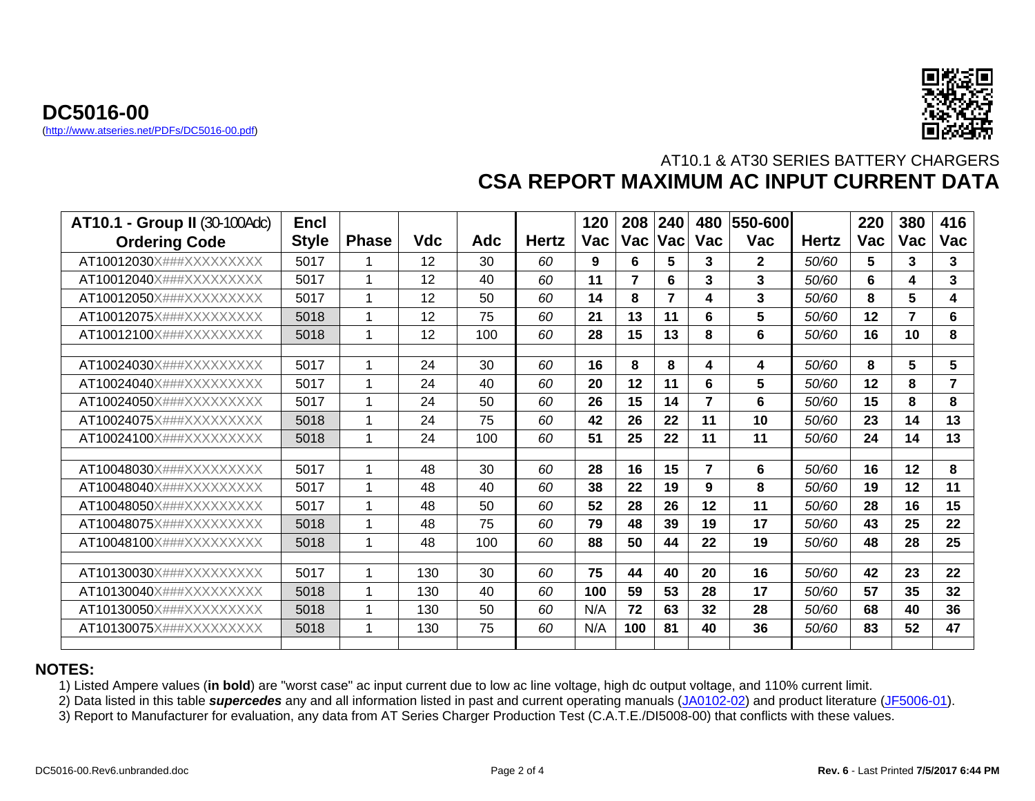



| <b>AT10.1 - Group II (30-100Adc)</b> | <b>Encl</b>  |              |            |     |              | 120 | 208            | 240                     | 480            | 550-600      |              | 220        | 380 | 416            |
|--------------------------------------|--------------|--------------|------------|-----|--------------|-----|----------------|-------------------------|----------------|--------------|--------------|------------|-----|----------------|
| <b>Ordering Code</b>                 | <b>Style</b> | <b>Phase</b> | <b>Vdc</b> | Adc | <b>Hertz</b> | Vac | Vac            | <b>Vac</b>              | Vac            | <b>Vac</b>   | <b>Hertz</b> | <b>Vac</b> | Vac | Vac            |
| AT10012030X###XXXXXXXXX              | 5017         |              | 12         | 30  | 60           | 9   | 6              | 5                       | 3              | $\mathbf{2}$ | 50/60        | 5          | 3   | 3              |
| AT10012040X###XXXXXXXXX              | 5017         | 1            | 12         | 40  | 60           | 11  | $\overline{7}$ | 6                       | 3              | 3            | 50/60        | 6          | 4   | $\overline{3}$ |
| AT10012050X###XXXXXXXXX              | 5017         | 1            | 12         | 50  | 60           | 14  | 8              | $\overline{\mathbf{z}}$ | 4              | 3            | 50/60        | 8          | 5   | 4              |
| AT10012075X###XXXXXXXXX              | 5018         | 1            | 12         | 75  | 60           | 21  | 13             | 11                      | 6              | 5            | 50/60        | 12         | 7   | 6              |
| AT10012100X###XXXXXXXXX              | 5018         | 1            | 12         | 100 | 60           | 28  | 15             | 13                      | 8              | 6            | 50/60        | 16         | 10  | 8              |
|                                      |              |              |            |     |              |     |                |                         |                |              |              |            |     |                |
| AT10024030X###XXXXXXXXX              | 5017         |              | 24         | 30  | 60           | 16  | 8              | 8                       | 4              | 4            | 50/60        | 8          | 5   | 5              |
| AT10024040X###XXXXXXXXX              | 5017         | 1            | 24         | 40  | 60           | 20  | 12             | 11                      | 6              | 5            | 50/60        | 12         | 8   | $\overline{7}$ |
| AT10024050X###XXXXXXXXX              | 5017         | 1            | 24         | 50  | 60           | 26  | 15             | 14                      | 7              | 6            | 50/60        | 15         | 8   | 8              |
| AT10024075X###XXXXXXXXX              | 5018         | 1            | 24         | 75  | 60           | 42  | 26             | 22                      | 11             | 10           | 50/60        | 23         | 14  | 13             |
| AT10024100X###XXXXXXXXX              | 5018         | 1            | 24         | 100 | 60           | 51  | 25             | 22                      | 11             | 11           | 50/60        | 24         | 14  | 13             |
|                                      |              |              |            |     |              |     |                |                         |                |              |              |            |     |                |
| AT10048030X###XXXXXXXXX              | 5017         |              | 48         | 30  | 60           | 28  | 16             | 15                      | $\overline{7}$ | 6            | 50/60        | 16         | 12  | 8              |
| AT10048040X###XXXXXXXXX              | 5017         | 1            | 48         | 40  | 60           | 38  | 22             | 19                      | 9              | 8            | 50/60        | 19         | 12  | 11             |
| AT10048050X###XXXXXXXXX              | 5017         | 1            | 48         | 50  | 60           | 52  | 28             | 26                      | 12             | 11           | 50/60        | 28         | 16  | 15             |
| AT10048075X###XXXXXXXXX              | 5018         |              | 48         | 75  | 60           | 79  | 48             | 39                      | 19             | 17           | 50/60        | 43         | 25  | 22             |
| AT10048100X###XXXXXXXXX              | 5018         |              | 48         | 100 | 60           | 88  | 50             | 44                      | 22             | 19           | 50/60        | 48         | 28  | 25             |
|                                      |              |              |            |     |              |     |                |                         |                |              |              |            |     |                |
| AT10130030X###XXXXXXXXX              | 5017         | 1            | 130        | 30  | 60           | 75  | 44             | 40                      | 20             | 16           | 50/60        | 42         | 23  | 22             |
| AT10130040X###XXXXXXXXX              | 5018         | $\mathbf{1}$ | 130        | 40  | 60           | 100 | 59             | 53                      | 28             | 17           | 50/60        | 57         | 35  | 32             |
| AT10130050X###XXXXXXXXX              | 5018         | 1            | 130        | 50  | 60           | N/A | 72             | 63                      | 32             | 28           | 50/60        | 68         | 40  | 36             |
| AT10130075X###XXXXXXXXX              | 5018         | 1            | 130        | 75  | 60           | N/A | 100            | 81                      | 40             | 36           | 50/60        | 83         | 52  | 47             |
|                                      |              |              |            |     |              |     |                |                         |                |              |              |            |     |                |

#### **NOTES:**

1) Listed Ampere values (**in bold**) are "worst case" ac input current due to low ac line voltage, high dc output voltage, and 110% current limit.

2) Data listed in this table *supercedes* any and all information listed in past and current operating manuals ([JA0102-02](http://www.atseries.net/PDFs/JA0102-02.pdf)) and product literature ([JF5006-01](http://www.atseries.net/PDFs/JF5006-01.pdf)).

3) Report to Manufacturer for evaluation, any data from AT Series Charger Production Test (C.A.T.E./DI5008-00) that conflicts with these values.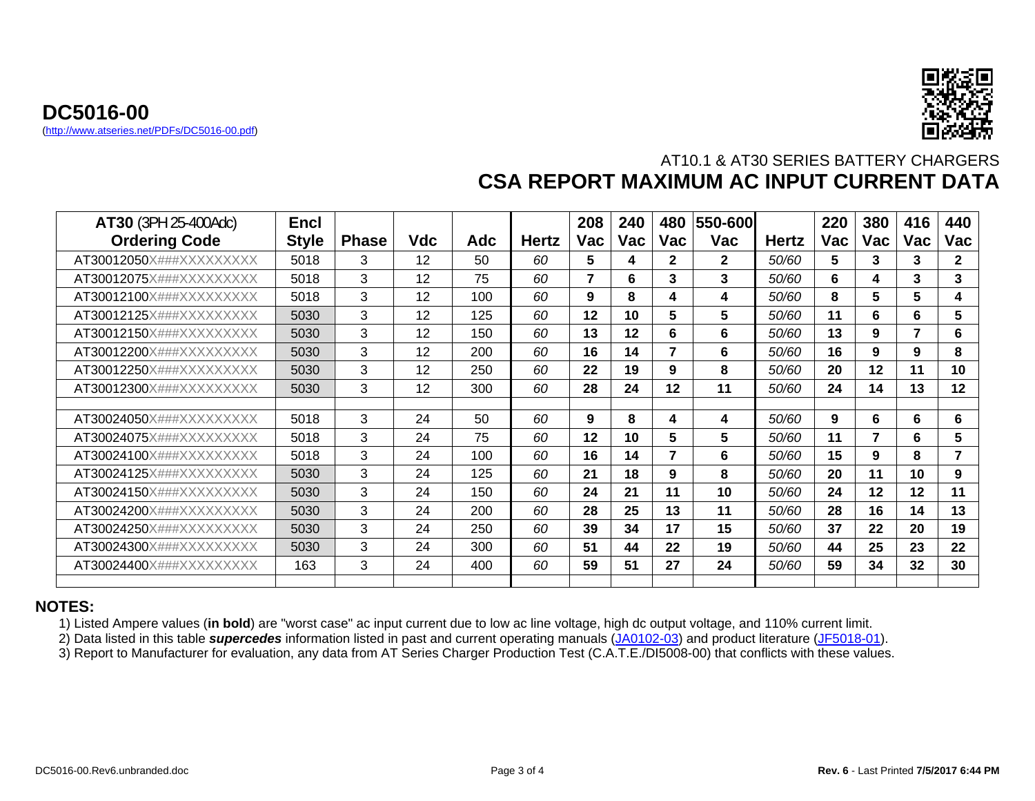



| <b>AT30 (3PH 25-400Adc)</b><br><b>Ordering Code</b> | <b>Encl</b><br><b>Style</b> | <b>Phase</b> | <b>Vdc</b> | Adc | <b>Hertz</b> | 208<br>Vac     | 240<br>Vac | 480<br>Vac               | 550-600<br>Vac | <b>Hertz</b> | 220<br><b>Vac</b> | 380<br><b>Vac</b> | 416<br>Vac | 440<br>Vac     |
|-----------------------------------------------------|-----------------------------|--------------|------------|-----|--------------|----------------|------------|--------------------------|----------------|--------------|-------------------|-------------------|------------|----------------|
| AT30012050X###XXXXXXXXX                             | 5018                        | 3            | 12         | 50  | 60           | 5              | 4          | $\mathbf{2}$             | $\mathbf{2}$   | 50/60        | 5                 | 3                 | 3          | $\mathbf{2}$   |
| AT30012075X###XXXXXXXXX                             | 5018                        | 3            | 12         | 75  | 60           | $\overline{7}$ | 6          | 3                        | 3              | <i>50/60</i> | 6                 | 4                 | 3          | 3              |
| AT30012100X###XXXXXXXXX                             | 5018                        | 3            | 12         | 100 | 60           | 9              | 8          | 4                        | 4              | <i>50/60</i> | 8                 | 5                 | 5          | 4              |
| AT30012125X###XXXXXXXXX                             | 5030                        | 3            | 12         | 125 | 60           | 12             | 10         | 5                        | 5              | 50/60        | 11                | 6                 | 6          | 5              |
| AT30012150X###XXXXXXXXX                             | 5030                        | 3            | 12         | 150 | 60           | 13             | 12         | 6                        | 6              | 50/60        | 13                | 9                 | 7          | 6              |
| AT30012200X###XXXXXXXXX                             | 5030                        | 3            | 12         | 200 | 60           | 16             | 14         | $\overline{\phantom{a}}$ | 6              | 50/60        | 16                | 9                 | 9          | 8              |
| AT30012250X###XXXXXXXXX                             | 5030                        | 3            | 12         | 250 | 60           | 22             | 19         | 9                        | 8              | <i>50/60</i> | 20                | 12                | 11         | 10             |
| AT30012300X###XXXXXXXXX                             | 5030                        | 3            | 12         | 300 | 60           | 28             | 24         | 12                       | 11             | <i>50/60</i> | 24                | 14                | 13         | 12             |
|                                                     |                             |              |            |     |              |                |            |                          |                |              |                   |                   |            |                |
| AT30024050X###XXXXXXXXX                             | 5018                        | 3            | 24         | 50  | 60           | 9              | 8          | 4                        | 4              | 50/60        | 9                 | 6                 | 6          | 6              |
| AT30024075X###XXXXXXXXX                             | 5018                        | 3            | 24         | 75  | 60           | 12             | 10         | 5                        | 5              | 50/60        | 11                | 7                 | 6          | 5              |
| AT30024100X###XXXXXXXXX                             | 5018                        | 3            | 24         | 100 | 60           | 16             | 14         | $\overline{\phantom{a}}$ | 6              | <i>50/60</i> | 15                | 9                 | 8          | $\overline{7}$ |
| AT30024125X###XXXXXXXXX                             | 5030                        | 3            | 24         | 125 | 60           | 21             | 18         | 9                        | 8              | 50/60        | 20                | 11                | 10         | 9              |
| AT30024150X###XXXXXXXXX                             | 5030                        | 3            | 24         | 150 | 60           | 24             | 21         | 11                       | 10             | <i>50/60</i> | 24                | 12                | 12         | 11             |
| AT30024200X###XXXXXXXXX                             | 5030                        | 3            | 24         | 200 | 60           | 28             | 25         | 13                       | 11             | 50/60        | 28                | 16                | 14         | 13             |
| AT30024250X###XXXXXXXXX                             | 5030                        | 3            | 24         | 250 | 60           | 39             | 34         | 17                       | 15             | 50/60        | 37                | 22                | 20         | 19             |
| AT30024300X###XXXXXXXXX                             | 5030                        | 3            | 24         | 300 | 60           | 51             | 44         | 22                       | 19             | <i>50/60</i> | 44                | 25                | 23         | 22             |
| AT30024400X###XXXXXXXXX                             | 163                         | 3            | 24         | 400 | 60           | 59             | 51         | 27                       | 24             | <i>50/60</i> | 59                | 34                | 32         | 30             |

#### **NOTES:**

1) Listed Ampere values (**in bold**) are "worst case" ac input current due to low ac line voltage, high dc output voltage, and 110% current limit.

2) Data listed in this table *supercedes* information listed in past and current operating manuals ([JA0102-03](http://www.atseries.net/PDFs/JA0102-03.pdf)) and product literature ([JF5018-01](http://www.atseries.net/PDFs/JF5018-01.pdf)).

3) Report to Manufacturer for evaluation, any data from AT Series Charger Production Test (C.A.T.E./DI5008-00) that conflicts with these values.